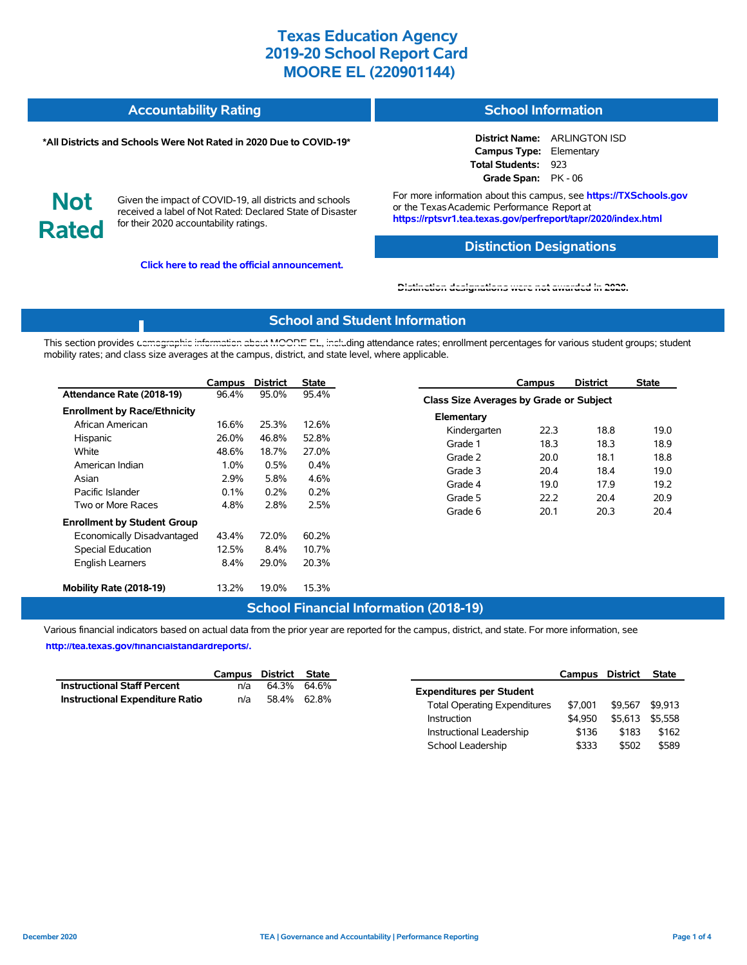| <b>Accountability Rating</b> | <b>School Information</b> |
|------------------------------|---------------------------|
|                              |                           |

#### **\*All Districts and Schools Were Not Rated in 2020 Due to COVID-19\***

**District Name:** ARLINGTON ISD **Campus Type:** Elementary **Total Students:** 923 **Grade Span:** PK - 06

**Not Rated**

Given the impact of COVID-19, all districts and schools received a label of Not Rated: Declared State of Disaster for their 2020 accountability ratings.

**Click here to read the official announcement.**

For more information about this campus, see **https://TXSchools.gov** or the Texas Academic Performance Report at **https://rptsvr1.tea.texas.gov/perfreport/tapr/2020/index.html**

### **Distinction Designations**

Instructional Leadership  $$136$  \$183 \$162 School Leadership  $$333$   $$502$  \$589

#### **[Distinction designations were not awarded in 2020.](https://rptsvr1.tea.texas.gov/perfreport/tapr/2020/index.html)**

#### **School and Student Information**

This section provides [demographic information about MOORE EL, inclu](https://tea.texas.gov/about-tea/news-and-multimedia/correspondence/taa-letters/every-student-succeeds-act-essa-waiver-approval-2020-state-academic-accountability)ding attendance rates; enrollment percentages for various student groups; student mobility rates; and class size averages at the campus, district, and state level, where applicable.

|                                     | Campus  | <b>District</b> | <b>State</b> | <b>District</b><br>Campus               | <b>State</b> |
|-------------------------------------|---------|-----------------|--------------|-----------------------------------------|--------------|
| Attendance Rate (2018-19)           | 96.4%   | 95.0%           | 95.4%        | Class Size Averages by Grade or Subject |              |
| <b>Enrollment by Race/Ethnicity</b> |         |                 |              | Elementary                              |              |
| African American                    | 16.6%   | 25.3%           | 12.6%        | 18.8<br>Kindergarten<br>22.3            | 19.0         |
| Hispanic                            | 26.0%   | 46.8%           | 52.8%        | 18.3<br>18.3<br>Grade 1                 | 18.9         |
| White                               | 48.6%   | 18.7%           | 27.0%        |                                         |              |
| American Indian                     | $1.0\%$ | 0.5%            | $0.4\%$      | 18.1<br>Grade 2<br>20.0                 | 18.8         |
| Asian                               | 2.9%    | 5.8%            | 4.6%         | 18.4<br>Grade 3<br>20.4                 | 19.0         |
| Pacific Islander                    | 0.1%    | 0.2%            | 0.2%         | Grade 4<br>19.0<br>17.9                 | 19.2         |
|                                     |         |                 |              | Grade 5<br>22.2<br>20.4                 | 20.9         |
| Two or More Races                   | 4.8%    | 2.8%            | 2.5%         | 20.3<br>Grade 6<br>20.1                 | 20.4         |
| <b>Enrollment by Student Group</b>  |         |                 |              |                                         |              |
| Economically Disadvantaged          | 43.4%   | 72.0%           | 60.2%        |                                         |              |
| Special Education                   | 12.5%   | 8.4%            | 10.7%        |                                         |              |
| <b>English Learners</b>             | 8.4%    | 29.0%           | 20.3%        |                                         |              |
| Mobility Rate (2018-19)             | 13.2%   | 19.0%           | 15.3%        |                                         |              |

#### **School Financial Information (2018-19)**

Various financial indicators based on actual data from the prior year are reported for the campus, district, and state. For more information, see

**[http://tea.texas.gov/financialstandardreports/.](http://tea.texas.gov/financialstandardreports/)**

|                                    |     | Campus District State |                                                | Campus District | State |
|------------------------------------|-----|-----------------------|------------------------------------------------|-----------------|-------|
| <b>Instructional Staff Percent</b> | n/a | 64.3% 64.6%           | <b>Expenditures per Student</b>                |                 |       |
| Instructional Expenditure Ratio    | n/a | 58.4% 62.8%           | \$7.001<br><b>Total Operating Expenditures</b> | \$9,567 \$9,913 |       |
|                                    |     |                       | \$4.950<br>Instruction                         | \$5,613 \$5,558 |       |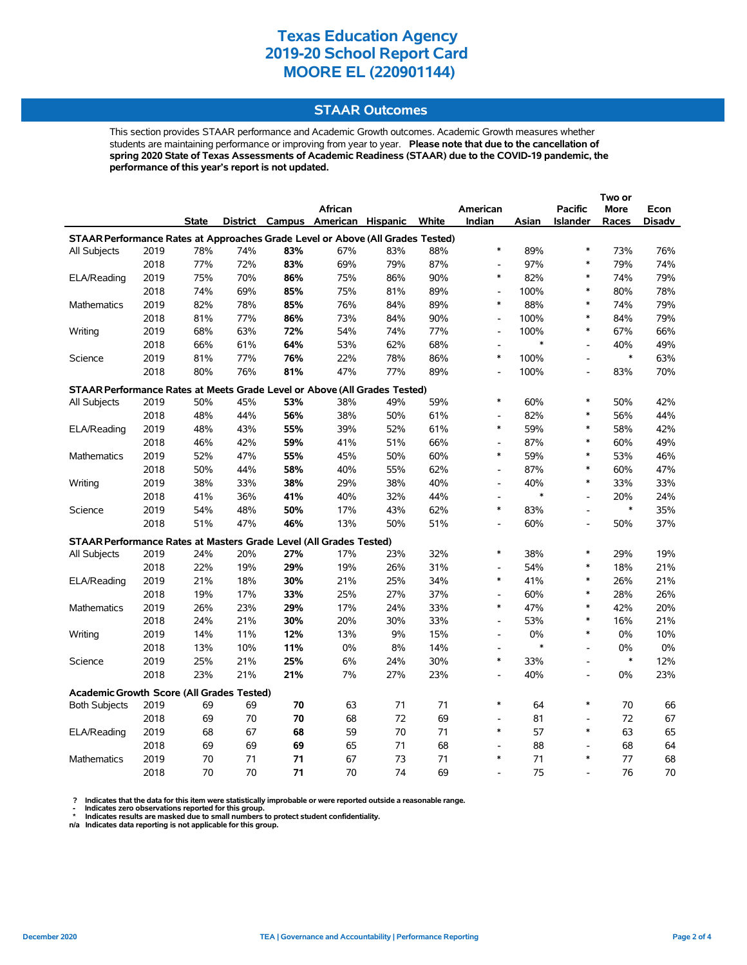### **STAAR Outcomes**

This section provides STAAR performance and Academic Growth outcomes. Academic Growth measures whether students are maintaining performance or improving from year to year. **Please note that due to the cancellation of spring 2020 State of Texas Assessments of Academic Readiness (STAAR) due to the COVID-19 pandemic, the performance of this year's report is not updated.**

|                                                                                |              |            |            |     | African                           |            |            | American                     |            | <b>Pacific</b>               | <b>More</b> | Econ   |
|--------------------------------------------------------------------------------|--------------|------------|------------|-----|-----------------------------------|------------|------------|------------------------------|------------|------------------------------|-------------|--------|
|                                                                                |              | State      |            |     | District Campus American Hispanic |            | White      | Indian                       | Asian      | <b>Islander</b>              | Races       | Disadv |
| STAAR Performance Rates at Approaches Grade Level or Above (All Grades Tested) |              |            |            |     |                                   |            |            |                              |            |                              |             |        |
| All Subjects                                                                   | 2019         | 78%        | 74%        | 83% | 67%                               | 83%        | 88%        | $\ast$                       | 89%        | $\ast$                       | 73%         | 76%    |
|                                                                                | 2018         | 77%        | 72%        | 83% | 69%                               | 79%        | 87%        | $\overline{\phantom{a}}$     | 97%        | *                            | 79%         | 74%    |
| ELA/Reading                                                                    | 2019         | 75%        | 70%        | 86% | 75%                               | 86%        | 90%        | $\ast$                       | 82%        | $\ast$                       | 74%         | 79%    |
|                                                                                | 2018         | 74%        | 69%        | 85% | 75%                               | 81%        | 89%        | $\qquad \qquad \blacksquare$ | 100%       | $\ast$                       | 80%         | 78%    |
| Mathematics                                                                    | 2019         | 82%        | 78%        | 85% | 76%                               | 84%        | 89%        | $\ast$                       | 88%        | $\ast$                       | 74%         | 79%    |
|                                                                                | 2018         | 81%        | 77%        | 86% | 73%                               | 84%        | 90%        | $\overline{\phantom{a}}$     | 100%       | *                            | 84%         | 79%    |
| Writing                                                                        | 2019         | 68%        | 63%        | 72% | 54%                               | 74%        | 77%        | $\overline{\phantom{a}}$     | 100%       | $\ast$                       | 67%         | 66%    |
|                                                                                | 2018         | 66%        | 61%        | 64% | 53%                               | 62%        | 68%        | $\overline{a}$               | $\ast$     | $\frac{1}{2}$                | 40%         | 49%    |
| Science                                                                        | 2019         | 81%        | 77%        | 76% | 22%                               | 78%        | 86%        | *                            | 100%       | $\qquad \qquad \blacksquare$ | $\ast$      | 63%    |
|                                                                                | 2018         | 80%        | 76%        | 81% | 47%                               | 77%        | 89%        | $\overline{a}$               | 100%       | $\overline{a}$               | 83%         | 70%    |
| STAAR Performance Rates at Meets Grade Level or Above (All Grades Tested)      |              |            |            |     |                                   |            |            |                              |            |                              |             |        |
| All Subjects                                                                   | 2019         | 50%        | 45%        | 53% | 38%                               | 49%        | 59%        | $\ast$                       | 60%        | $\ast$                       | 50%         | 42%    |
|                                                                                | 2018         | 48%        | 44%        | 56% | 38%                               | 50%        | 61%        | $\overline{\phantom{a}}$     | 82%        | $\ast$                       | 56%         | 44%    |
| ELA/Reading                                                                    | 2019         | 48%        | 43%        | 55% | 39%                               | 52%        | 61%        | $\ast$                       | 59%        | $\ast$                       | 58%         | 42%    |
|                                                                                | 2018         | 46%        | 42%        | 59% | 41%                               | 51%        | 66%        | $\overline{\phantom{a}}$     | 87%        | $\ast$                       | 60%         | 49%    |
| Mathematics                                                                    | 2019         | 52%        | 47%        | 55% | 45%                               | 50%        | 60%        | $\ast$                       | 59%        | $\ast$                       | 53%         | 46%    |
|                                                                                | 2018         | 50%        | 44%        | 58% | 40%                               | 55%        | 62%        | $\overline{\phantom{a}}$     | 87%        | $\ast$                       | 60%         | 47%    |
| Writing                                                                        | 2019         | 38%        | 33%        | 38% | 29%                               | 38%        | 40%        | $\overline{\phantom{a}}$     | 40%        | *                            | 33%         | 33%    |
|                                                                                | 2018         | 41%        | 36%        | 41% | 40%                               | 32%        | 44%        | $\overline{\phantom{a}}$     | $\ast$     | $\overline{a}$               | 20%         | 24%    |
| Science                                                                        | 2019         | 54%        | 48%        | 50% | 17%                               | 43%        | 62%        | $\ast$                       | 83%        | $\overline{a}$               | $\ast$      | 35%    |
|                                                                                | 2018         | 51%        | 47%        | 46% | 13%                               | 50%        | 51%        | $\overline{a}$               | 60%        | $\frac{1}{2}$                | 50%         | 37%    |
|                                                                                |              |            |            |     |                                   |            |            |                              |            |                              |             |        |
| STAAR Performance Rates at Masters Grade Level (All Grades Tested)             |              |            |            | 27% |                                   |            |            | *                            |            | *                            | 29%         | 19%    |
| <b>All Subjects</b>                                                            | 2019<br>2018 | 24%<br>22% | 20%<br>19% | 29% | 17%<br>19%                        | 23%        | 32%<br>31% | $\overline{\phantom{a}}$     | 38%<br>54% | *                            | 18%         | 21%    |
|                                                                                | 2019         | 21%        |            | 30% |                                   | 26%<br>25% |            | $\ast$                       | 41%        | $\ast$                       |             | 21%    |
| ELA/Reading                                                                    | 2018         | 19%        | 18%<br>17% | 33% | 21%<br>25%                        | 27%        | 34%<br>37% | $\overline{\phantom{a}}$     | 60%        | $\ast$                       | 26%<br>28%  | 26%    |
|                                                                                | 2019         | 26%        | 23%        | 29% | 17%                               | 24%        | 33%        | $\ast$                       | 47%        | *                            | 42%         | 20%    |
| Mathematics                                                                    | 2018         | 24%        | 21%        | 30% | 20%                               | 30%        | 33%        | $\qquad \qquad \blacksquare$ | 53%        | $\ast$                       | 16%         | 21%    |
| Writing                                                                        | 2019         | 14%        | 11%        | 12% | 13%                               | 9%         | 15%        | $\overline{\phantom{a}}$     | 0%         | $\ast$                       | 0%          | 10%    |
|                                                                                | 2018         | 13%        | 10%        | 11% | 0%                                | 8%         | 14%        | $\overline{a}$               | $\ast$     | $\qquad \qquad \blacksquare$ | 0%          | $0\%$  |
| Science                                                                        | 2019         | 25%        | 21%        | 25% | 6%                                | 24%        | 30%        | $\ast$                       | 33%        | $\overline{a}$               | $\ast$      | 12%    |
|                                                                                | 2018         | 23%        | 21%        | 21% | 7%                                | 27%        | 23%        | $\overline{a}$               | 40%        | $\overline{a}$               | 0%          | 23%    |
|                                                                                |              |            |            |     |                                   |            |            |                              |            |                              |             |        |
| <b>Academic Growth Score (All Grades Tested)</b>                               |              |            |            |     |                                   |            |            |                              |            |                              |             |        |
| <b>Both Subjects</b>                                                           | 2019         | 69         | 69         | 70  | 63                                | 71         | 71         | $\ast$                       | 64         | $\ast$                       | 70          | 66     |
|                                                                                | 2018         | 69         | 70         | 70  | 68                                | 72         | 69         | L,                           | 81         | $\overline{a}$               | 72          | 67     |
| ELA/Reading                                                                    | 2019         | 68         | 67         | 68  | 59                                | 70         | 71         | $\ast$                       | 57         | $\ast$                       | 63          | 65     |
|                                                                                | 2018         | 69         | 69         | 69  | 65                                | 71         | 68         |                              | 88         | $\overline{a}$               | 68          | 64     |
| <b>Mathematics</b>                                                             | 2019         | 70         | 71         | 71  | 67                                | 73         | 71         | $\ast$                       | 71         | $\ast$                       | 77          | 68     |
|                                                                                | 2018         | 70         | 70         | 71  | 70                                | 74         | 69         |                              | 75         | L,                           | 76          | 70     |

? Indicates that the data for this item were statistically improbable or were reported outside a reasonable range.<br>- Indicates zero observations reported for this group.<br>\* Indicates results are masked due to small numbers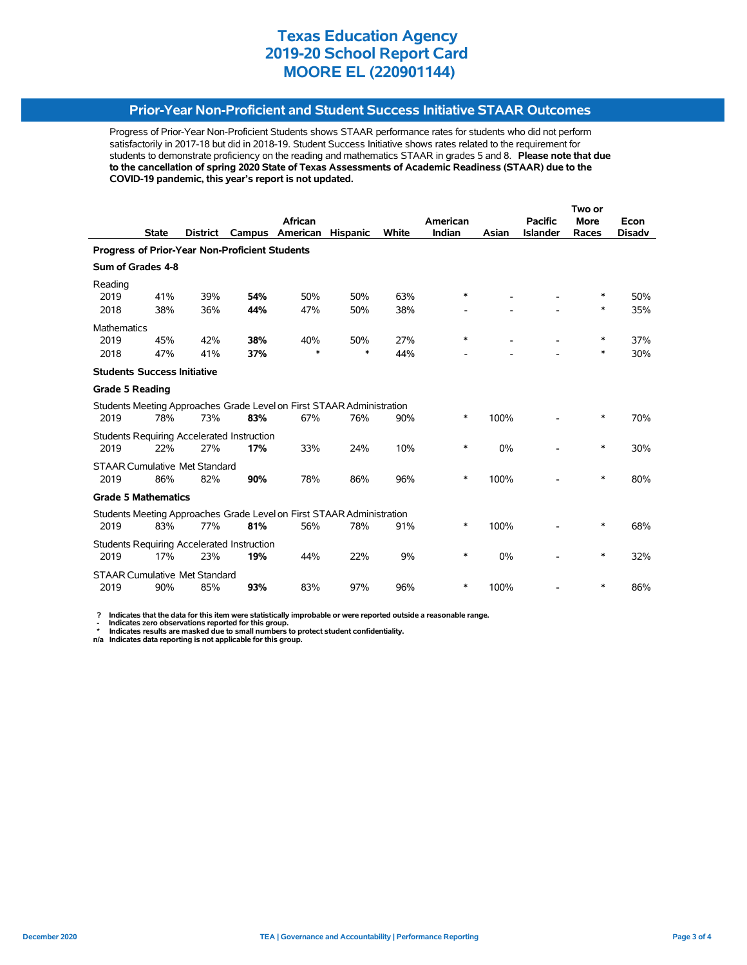### **Prior-Year Non-Proficient and Student Success Initiative STAAR Outcomes**

Progress of Prior-Year Non-Proficient Students shows STAAR performance rates for students who did not perform satisfactorily in 2017-18 but did in 2018-19. Student Success Initiative shows rates related to the requirement for students to demonstrate proficiency on the reading and mathematics STAAR in grades 5 and 8. **Please note that due to the cancellation of spring 2020 State of Texas Assessments of Academic Readiness (STAAR) due to the COVID-19 pandemic, this year's report is not updated.**

|                                                       |                                      |                 |                                                   |                                                                       |                 |              | Two or   |       |                 |             |               |  |
|-------------------------------------------------------|--------------------------------------|-----------------|---------------------------------------------------|-----------------------------------------------------------------------|-----------------|--------------|----------|-------|-----------------|-------------|---------------|--|
|                                                       |                                      |                 |                                                   | African                                                               |                 |              | American |       | <b>Pacific</b>  | <b>More</b> | Econ          |  |
|                                                       | <b>State</b>                         | <b>District</b> | Campus                                            | American                                                              | <b>Hispanic</b> | <b>White</b> | Indian   | Asian | <b>Islander</b> | Races       | <b>Disadv</b> |  |
| <b>Progress of Prior-Year Non-Proficient Students</b> |                                      |                 |                                                   |                                                                       |                 |              |          |       |                 |             |               |  |
|                                                       | Sum of Grades 4-8                    |                 |                                                   |                                                                       |                 |              |          |       |                 |             |               |  |
| Reading                                               |                                      |                 |                                                   |                                                                       |                 |              |          |       |                 |             |               |  |
| 2019                                                  | 41%                                  | 39%             | 54%                                               | 50%                                                                   | 50%             | 63%          | *        |       |                 | ∗           | 50%           |  |
| 2018                                                  | 38%                                  | 36%             | 44%                                               | 47%                                                                   | 50%             | 38%          |          |       |                 | ∗           | 35%           |  |
| <b>Mathematics</b>                                    |                                      |                 |                                                   |                                                                       |                 |              |          |       |                 |             |               |  |
| 2019                                                  | 45%                                  | 42%             | 38%                                               | 40%                                                                   | 50%             | 27%          | $\ast$   |       |                 | $\ast$      | 37%           |  |
| 2018                                                  | 47%                                  | 41%             | 37%                                               | $\ast$                                                                | $\ast$          | 44%          |          |       |                 | ∗           | 30%           |  |
|                                                       | <b>Students Success Initiative</b>   |                 |                                                   |                                                                       |                 |              |          |       |                 |             |               |  |
| <b>Grade 5 Reading</b>                                |                                      |                 |                                                   |                                                                       |                 |              |          |       |                 |             |               |  |
|                                                       |                                      |                 |                                                   | Students Meeting Approaches Grade Level on First STAAR Administration |                 |              |          |       |                 |             |               |  |
| 2019                                                  | 78%                                  | 73%             | 83%                                               | 67%                                                                   | 76%             | 90%          | $\ast$   | 100%  |                 | $\ast$      | 70%           |  |
|                                                       |                                      |                 | <b>Students Requiring Accelerated Instruction</b> |                                                                       |                 |              |          |       |                 |             |               |  |
| 2019                                                  | 22%                                  | 27%             | 17%                                               | 33%                                                                   | 24%             | 10%          | *        | 0%    |                 | ∗           | 30%           |  |
|                                                       | <b>STAAR Cumulative Met Standard</b> |                 |                                                   |                                                                       |                 |              |          |       |                 |             |               |  |
| 2019                                                  | 86%                                  | 82%             | 90%                                               | 78%                                                                   | 86%             | 96%          | *        | 100%  |                 | $\ast$      | 80%           |  |
|                                                       | <b>Grade 5 Mathematics</b>           |                 |                                                   |                                                                       |                 |              |          |       |                 |             |               |  |
|                                                       |                                      |                 |                                                   | Students Meeting Approaches Grade Level on First STAAR Administration |                 |              |          |       |                 |             |               |  |
| 2019                                                  | 83%                                  | 77%             | 81%                                               | 56%                                                                   | 78%             | 91%          | *        | 100%  |                 | *           | 68%           |  |
|                                                       |                                      |                 | <b>Students Requiring Accelerated Instruction</b> |                                                                       |                 |              |          |       |                 |             |               |  |
| 2019                                                  | 17%                                  | 23%             | 19%                                               | 44%                                                                   | 22%             | 9%           | *        | 0%    |                 | ∗           | 32%           |  |
|                                                       | <b>STAAR Cumulative Met Standard</b> |                 |                                                   |                                                                       |                 |              |          |       |                 |             |               |  |
| 2019                                                  | 90%                                  | 85%             | 93%                                               | 83%                                                                   | 97%             | 96%          | *        | 100%  |                 | ∗           | 86%           |  |

 **? Indicates that the data for this item were statistically improbable or were reported outside a reasonable range.**

 **- Indicates zero observations reported for this group. \* Indicates results are masked due to small numbers to protect student confidentiality.**

**n/a Indicates data reporting is not applicable for this group.**